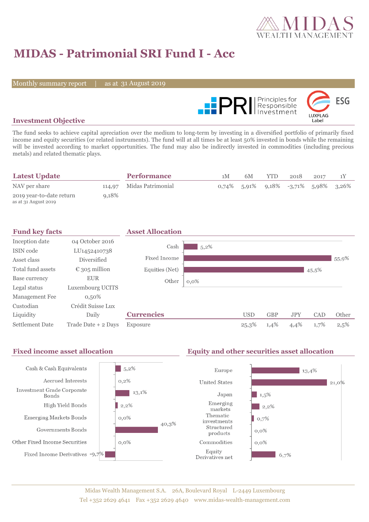

# **MIDAS - Patrimonial SRI Fund I - Acc**

Monthly summary report

31 August 2019



### **Investment Objective**

The fund seeks to achieve capital apreciation over the medium to long-term by investing in a diversified portfolio of primarily fixed income and equity securities (or related instruments). The fund will at all times be at least 50% invested in bonds while the remaining will be invested according to market opportunities. The fund may also be indirectly invested in commodities (including precious metals) and related thematic plays.

| <b>Latest Update</b>                             |          | <b>Performance</b>       | 1 <sup>M</sup> | 6M | YTD | 2018                                    | 2017 |  |
|--------------------------------------------------|----------|--------------------------|----------------|----|-----|-----------------------------------------|------|--|
| NAV per share                                    |          | 114,97 Midas Patrimonial |                |    |     | $0.74\%$ 5.91% 9.18% -3.71% 5.98% 3.26% |      |  |
| 2019 year-to-date return<br>as at 31 August 2019 | $9,18\%$ |                          |                |    |     |                                         |      |  |

| <b>Fund key facts</b>  |                        | <b>Asset Allocation</b> |         |            |            |            |       |       |
|------------------------|------------------------|-------------------------|---------|------------|------------|------------|-------|-------|
| Inception date         | 04 October 2016        | Cash                    |         |            |            |            |       |       |
| ISIN code              | LU1452410738           |                         | $5,2\%$ |            |            |            |       |       |
| Asset class            | Diversified            | Fixed Income            |         |            |            |            |       | 55,9% |
| Total fund assets      | $\epsilon$ 305 million | Equities (Net)          |         |            |            |            | 45,5% |       |
| Base currency          | <b>EUR</b>             | Other                   | $0,0\%$ |            |            |            |       |       |
| Legal status           | Luxembourg UCITS       |                         |         |            |            |            |       |       |
| Management Fee         | $0,50\%$               |                         |         |            |            |            |       |       |
| Custodian              | Crédit Suisse Lux      |                         |         |            |            |            |       |       |
| Liquidity              | Daily                  | <b>Currencies</b>       |         | <b>USD</b> | <b>GBP</b> | <b>JPY</b> | CAD   | Other |
| <b>Settlement Date</b> | Trade Date + 2 Days    | Exposure                |         | 25,3%      | 1,4%       | 4,4%       | 1,7%  | 2,5%  |

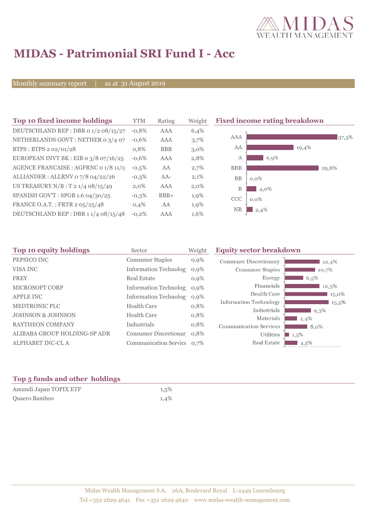

# **MIDAS - Patrimonial SRI Fund I - Acc**

Monthly summary report

31 August 2019

| Top 10 fixed income holdings          | YTM     | Rating     | Weigh   |
|---------------------------------------|---------|------------|---------|
| DEUTSCHLAND REP : DBR o 1/2 08/15/27  | $-0.8%$ | AAA        | 6,4%    |
| NETHERLANDS GOVT: NETHER 0 3/4 07     | $-0.6%$ | AAA        | 3,7%    |
| BTPS: BTPS 2 02/01/28                 | 0,8%    | <b>BBB</b> | $3,0\%$ |
| EUROPEAN INVT BK : EIB o 3/8 07/16/25 | $-0.6%$ | AAA        | 2,8%    |
| AGENCE FRANCAISE : AGFRNC 0 1/8 11/1  | $-0,5%$ | AA         | 2,7%    |
| ALLIANDER: ALLRNV 07/8 04/22/26       | $-0,3%$ | $AA-$      | 2,1%    |
| US TREASURY $N/B$ : T 2 1/4 08/15/49  | $2.0\%$ | AAA        | $2,0\%$ |
| SPANISH GOV'T: SPGB 1.6 04/30/25      | $-0,3%$ | $BBB+$     | 1,9%    |
| FRANCE O.A.T.: FRTR 2 05/25/48        | 0.4%    | AA         | 1,9%    |
| DEUTSCHLAND REP : DBR 1 1/4 08/15/48  | $-0.2%$ | AAA        | 1,6%    |

**Fixed income rating breakdown** 



| Sector                  | Weight                            | <b>Equity sector breakdown</b>                                                                                                                                               |                                                           |  |
|-------------------------|-----------------------------------|------------------------------------------------------------------------------------------------------------------------------------------------------------------------------|-----------------------------------------------------------|--|
| <b>Consumer Staples</b> | $0,9\%$                           | <b>Consumer Discretionary</b>                                                                                                                                                | 12,4%                                                     |  |
|                         | $0.9\%$                           | Consumer Staples                                                                                                                                                             | 10.7%                                                     |  |
| <b>Real Estate</b>      | $0,9\%$                           | Energy                                                                                                                                                                       | 6,5%                                                      |  |
|                         |                                   | Financials                                                                                                                                                                   | 12,3%                                                     |  |
|                         |                                   | Health Care                                                                                                                                                                  | 15,0%                                                     |  |
| <b>Health Care</b>      |                                   |                                                                                                                                                                              | $15,5\%$                                                  |  |
|                         |                                   |                                                                                                                                                                              | $9,3\%$                                                   |  |
|                         |                                   |                                                                                                                                                                              | 4,4%                                                      |  |
|                         |                                   | <b>Communication Services</b>                                                                                                                                                | $8.0\%$                                                   |  |
|                         |                                   | Utilities                                                                                                                                                                    | $1,5\%$                                                   |  |
|                         |                                   | Real Estate                                                                                                                                                                  | $4.5\%$                                                   |  |
|                         | <b>Health Care</b><br>Industrials | <b>Information Technolog</b><br>Information Technolog 0,9%<br>Information Technolog 0,9%<br>0,8%<br>0,8%<br>0,8%<br>Consumer Discretionar 0,8%<br>Communication Service 0,7% | <b>Information Technology</b><br>Industrials<br>Materials |  |

### **Top 5 funds and other holdings**

| Amundi Japan TOPIX ETF | 1,5% |
|------------------------|------|
| Quaero Bamboo          | 1,4% |